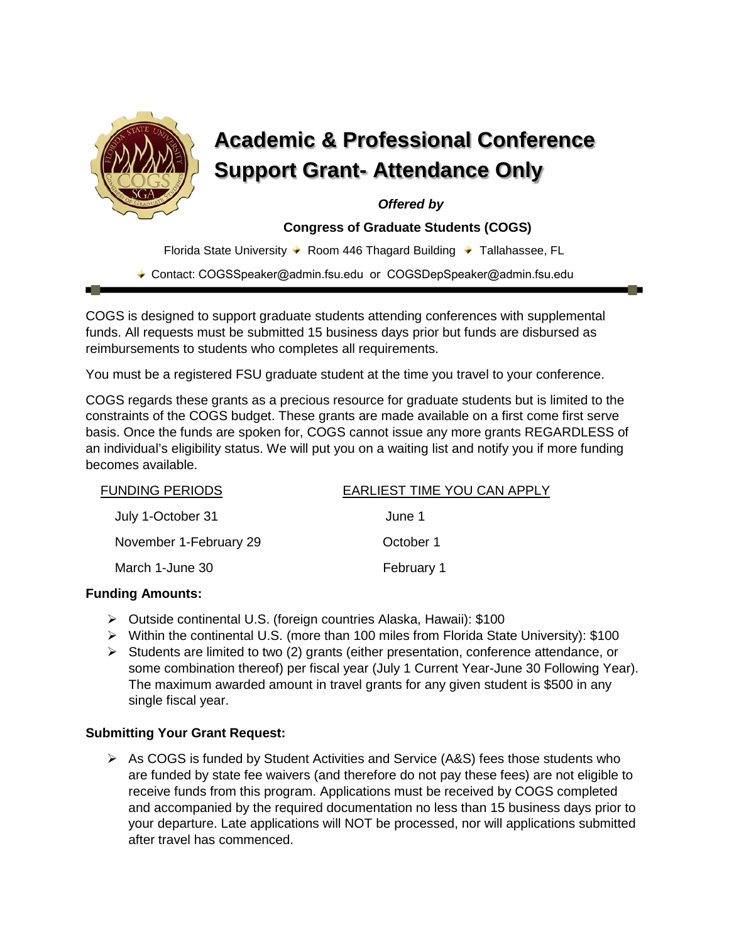

# **Academic & Professional Conference Support Grant- Attendance Only**

 *Offered by*

 **Congress of Graduate Students (COGS)**

Florida State University ♦ Room 446 Thagard Building ♦ Tallahassee, FL

◆ Contact: COGSSpeaker@admin.fsu.edu or COGSDepSpeaker@admin.fsu.edu

COGS is designed to support graduate students attending conferences with supplemental funds. All requests must be submitted 15 business days prior but funds are disbursed as reimbursements to students who completes all requirements.

You must be a registered FSU graduate student at the time you travel to your conference.

COGS regards these grants as a precious resource for graduate students but is limited to the constraints of the COGS budget. These grants are made available on a first come first serve basis. Once the funds are spoken for, COGS cannot issue any more grants REGARDLESS of an individual's eligibility status. We will put you on a waiting list and notify you if more funding becomes available.

| <b>FUNDING PERIODS</b> | EARLIEST TIME YOU CAN APPLY |
|------------------------|-----------------------------|
| July 1-October 31      | June 1                      |
| November 1-February 29 | October 1                   |
| March 1-June 30        | February 1                  |

# **Funding Amounts:**

- Outside continental U.S. (foreign countries Alaska, Hawaii): \$100
- Within the continental U.S. (more than 100 miles from Florida State University): \$100
- $\triangleright$  Students are limited to two (2) grants (either presentation, conference attendance, or some combination thereof) per fiscal year (July 1 Current Year-June 30 Following Year). The maximum awarded amount in travel grants for any given student is \$500 in any single fiscal year.

# **Submitting Your Grant Request:**

 $\triangleright$  As COGS is funded by Student Activities and Service (A&S) fees those students who are funded by state fee waivers (and therefore do not pay these fees) are not eligible to receive funds from this program. Applications must be received by COGS completed and accompanied by the required documentation no less than 15 business days prior to your departure. Late applications will NOT be processed, nor will applications submitted after travel has commenced.